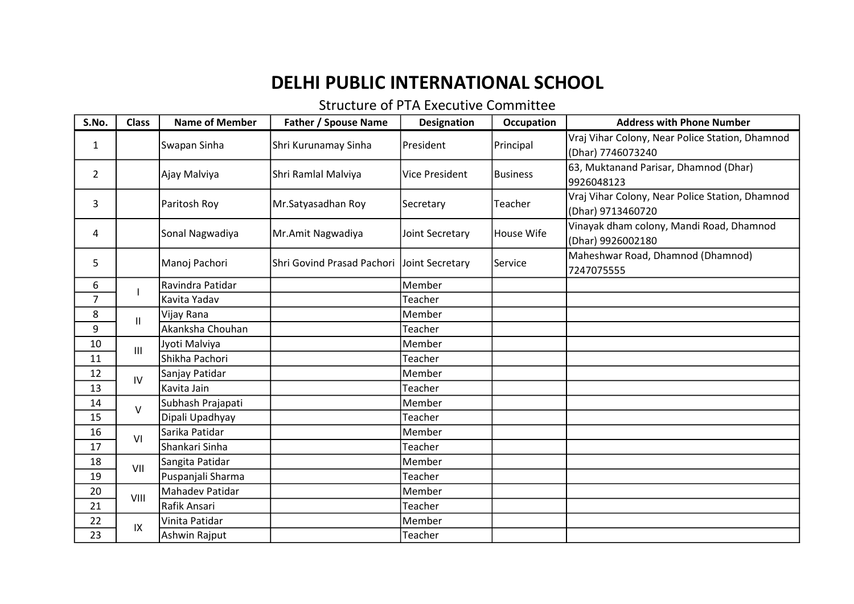## DELHI PUBLIC INTERNATIONAL SCHOOL

## Structure of PTA Executive Committee

| S.No.          | <b>Class</b> | <b>Name of Member</b> | <b>Father / Spouse Name</b>                | <b>Designation</b>    | Occupation        | <b>Address with Phone Number</b>                                     |
|----------------|--------------|-----------------------|--------------------------------------------|-----------------------|-------------------|----------------------------------------------------------------------|
| 1              |              | Swapan Sinha          | Shri Kurunamay Sinha                       | President             | Principal         | Vraj Vihar Colony, Near Police Station, Dhamnod<br>(Dhar) 7746073240 |
| 2              |              | Ajay Malviya          | Shri Ramlal Malviya                        | <b>Vice President</b> | <b>Business</b>   | 63, Muktanand Parisar, Dhamnod (Dhar)<br>9926048123                  |
| 3              |              | Paritosh Roy          | Mr.Satyasadhan Roy                         | Secretary             | Teacher           | Vraj Vihar Colony, Near Police Station, Dhamnod<br>(Dhar) 9713460720 |
| 4              |              | Sonal Nagwadiya       | Mr.Amit Nagwadiya                          | Joint Secretary       | <b>House Wife</b> | Vinayak dham colony, Mandi Road, Dhamnod<br>(Dhar) 9926002180        |
| 5              |              | Manoj Pachori         | Shri Govind Prasad Pachori Joint Secretary |                       | Service           | Maheshwar Road, Dhamnod (Dhamnod)<br>7247075555                      |
| 6              |              | Ravindra Patidar      |                                            | Member                |                   |                                                                      |
| $\overline{7}$ |              | Kavita Yadav          |                                            | Teacher               |                   |                                                                      |
| 8              | $\mathbf{H}$ | Vijay Rana            |                                            | Member                |                   |                                                                      |
| 9              |              | Akanksha Chouhan      |                                            | Teacher               |                   |                                                                      |
| 10             | III          | Jyoti Malviya         |                                            | Member                |                   |                                                                      |
| 11             |              | Shikha Pachori        |                                            | Teacher               |                   |                                                                      |
| 12             | IV           | Sanjay Patidar        |                                            | Member                |                   |                                                                      |
| 13             |              | Kavita Jain           |                                            | Teacher               |                   |                                                                      |
| 14             | $\vee$       | Subhash Prajapati     |                                            | Member                |                   |                                                                      |
| 15             |              | Dipali Upadhyay       |                                            | Teacher               |                   |                                                                      |
| 16             | VI           | Sarika Patidar        |                                            | Member                |                   |                                                                      |
| 17             |              | Shankari Sinha        |                                            | Teacher               |                   |                                                                      |
| 18             | VII          | Sangita Patidar       |                                            | Member                |                   |                                                                      |
| 19             |              | Puspanjali Sharma     |                                            | Teacher               |                   |                                                                      |
| 20             | VIII         | Mahadev Patidar       |                                            | Member                |                   |                                                                      |
| 21             |              | Rafik Ansari          |                                            | Teacher               |                   |                                                                      |
| 22             | $\sf IX$     | Vinita Patidar        |                                            | Member                |                   |                                                                      |
| 23             |              | Ashwin Rajput         |                                            | Teacher               |                   |                                                                      |